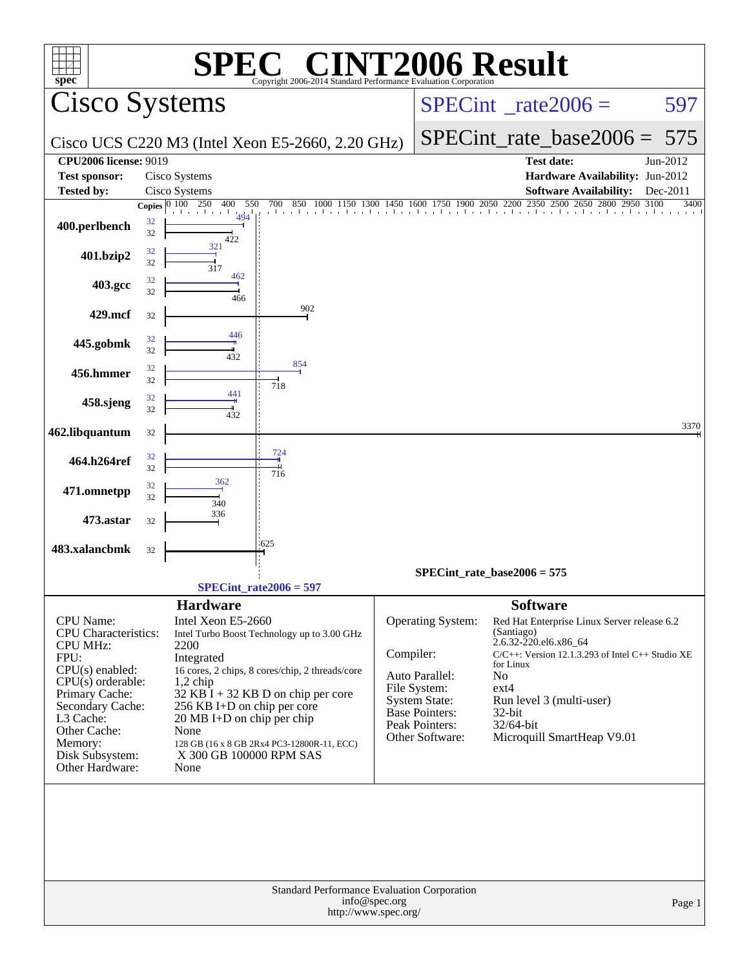| <b>NT2006 Result</b><br><b>SPEC®</b><br>$spec^*$<br>Copyright 2006-2014 Standard Performance Evaluation Corporation |                                                             |                                                  |                                         |                                                                                                                 |                  |  |  |
|---------------------------------------------------------------------------------------------------------------------|-------------------------------------------------------------|--------------------------------------------------|-----------------------------------------|-----------------------------------------------------------------------------------------------------------------|------------------|--|--|
| Cisco Systems                                                                                                       |                                                             |                                                  |                                         | $SPECint^{\circ}$ rate $2006 =$                                                                                 | 597              |  |  |
|                                                                                                                     |                                                             | Cisco UCS C220 M3 (Intel Xeon E5-2660, 2.20 GHz) |                                         | SPECint rate base $2006 =$                                                                                      | 575              |  |  |
| <b>CPU2006 license: 9019</b>                                                                                        |                                                             |                                                  |                                         | <b>Test date:</b>                                                                                               | Jun-2012         |  |  |
| Test sponsor:                                                                                                       | Cisco Systems                                               |                                                  |                                         | Hardware Availability: Jun-2012                                                                                 |                  |  |  |
| <b>Tested by:</b>                                                                                                   | Cisco Systems<br>Copies $\overline{0100}$ 250<br>400<br>550 | 700                                              |                                         | <b>Software Availability:</b><br>850 1000 1150 1300 1450 1600 1750 1900 2050 2200 2350 2500 2650 2800 2950 3100 | Dec-2011<br>3400 |  |  |
| 400.perlbench                                                                                                       | 494<br>32<br>32<br>422                                      |                                                  |                                         | . 1 1 1 1 1 1 1 1 1 1 1 1 1 1 1 .                                                                               |                  |  |  |
| 401.bzip2                                                                                                           | 321<br>32<br>32<br>317                                      |                                                  |                                         |                                                                                                                 |                  |  |  |
| 403.gcc                                                                                                             | 462<br>32<br>32<br>466                                      |                                                  |                                         |                                                                                                                 |                  |  |  |
| 429.mcf                                                                                                             | 32                                                          | 902                                              |                                         |                                                                                                                 |                  |  |  |
| 445.gobmk                                                                                                           | 446<br>32<br>32<br>432                                      |                                                  |                                         |                                                                                                                 |                  |  |  |
| 456.hmmer                                                                                                           | 32<br>32                                                    | 854                                              |                                         |                                                                                                                 |                  |  |  |
| 458.sjeng                                                                                                           | 441<br>32                                                   | 718                                              |                                         |                                                                                                                 |                  |  |  |
|                                                                                                                     | 32<br>432                                                   |                                                  |                                         |                                                                                                                 | 3370             |  |  |
| 462.libquantum                                                                                                      | 32                                                          |                                                  |                                         |                                                                                                                 |                  |  |  |
| 464.h264ref                                                                                                         | 32<br>32                                                    | 724<br>716                                       |                                         |                                                                                                                 |                  |  |  |
| 471.omnetpp                                                                                                         | 362<br>32<br>32<br>340                                      |                                                  |                                         |                                                                                                                 |                  |  |  |
| 473.astar                                                                                                           | 336<br>32                                                   |                                                  |                                         |                                                                                                                 |                  |  |  |
| 483.xalancbmk                                                                                                       | 32                                                          | .625                                             |                                         |                                                                                                                 |                  |  |  |
|                                                                                                                     |                                                             |                                                  |                                         | $SPECint_rate_base2006 = 575$                                                                                   |                  |  |  |
|                                                                                                                     |                                                             | SPECint rate $2006 = 597$                        |                                         |                                                                                                                 |                  |  |  |
|                                                                                                                     | <b>Hardware</b>                                             |                                                  |                                         | <b>Software</b>                                                                                                 |                  |  |  |
| CPU Name:                                                                                                           | Intel Xeon E5-2660                                          |                                                  | Operating System:                       | Red Hat Enterprise Linux Server release 6.2                                                                     |                  |  |  |
| CPU Characteristics:                                                                                                |                                                             | Intel Turbo Boost Technology up to 3.00 GHz      |                                         | (Santiago)                                                                                                      |                  |  |  |
| <b>CPU MHz:</b><br>FPU:                                                                                             | 2200<br>Integrated                                          |                                                  | Compiler:                               | 2.6.32-220.el6.x86_64<br>$C/C++$ : Version 12.1.3.293 of Intel $C++$ Studio XE                                  |                  |  |  |
| CPU(s) enabled:                                                                                                     |                                                             | 16 cores, 2 chips, 8 cores/chip, 2 threads/core  | Auto Parallel:                          | for Linux<br>N <sub>o</sub>                                                                                     |                  |  |  |
| $CPU(s)$ orderable:                                                                                                 | $1,2$ chip                                                  |                                                  | File System:                            | ext4                                                                                                            |                  |  |  |
| Primary Cache:<br>Secondary Cache:                                                                                  | 256 KB I+D on chip per core                                 | $32$ KB $\bar{I}$ + 32 KB D on chip per core     | <b>System State:</b>                    | Run level 3 (multi-user)                                                                                        |                  |  |  |
| L3 Cache:                                                                                                           | $20 \text{ MB I+D}$ on chip per chip                        |                                                  | <b>Base Pointers:</b><br>Peak Pointers: | $32$ -bit<br>32/64-bit                                                                                          |                  |  |  |
| Other Cache:                                                                                                        | None                                                        |                                                  | Other Software:                         | Microquill SmartHeap V9.01                                                                                      |                  |  |  |
| Memory:<br>Disk Subsystem:                                                                                          | X 300 GB 100000 RPM SAS                                     | 128 GB (16 x 8 GB 2Rx4 PC3-12800R-11, ECC)       |                                         |                                                                                                                 |                  |  |  |
| Other Hardware:                                                                                                     | None                                                        |                                                  |                                         |                                                                                                                 |                  |  |  |
|                                                                                                                     |                                                             |                                                  |                                         |                                                                                                                 |                  |  |  |
| Standard Performance Evaluation Corporation<br>info@spec.org<br>Page 1                                              |                                                             |                                                  |                                         |                                                                                                                 |                  |  |  |
| http://www.spec.org/                                                                                                |                                                             |                                                  |                                         |                                                                                                                 |                  |  |  |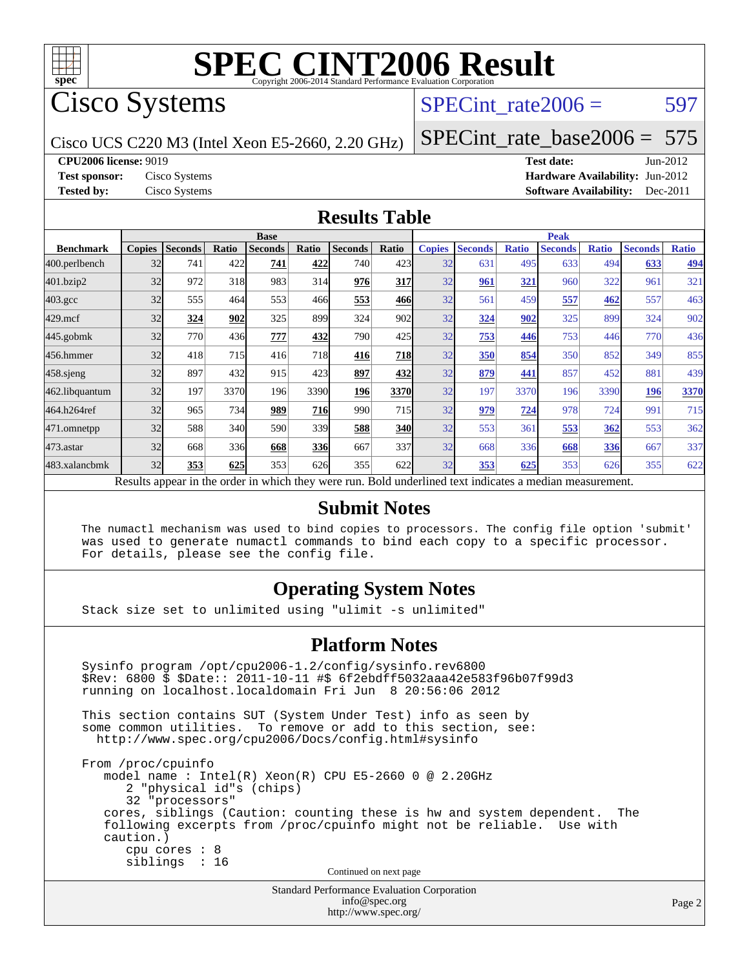

Cisco Systems

### SPECint rate $2006 = 597$

Cisco UCS C220 M3 (Intel Xeon E5-2660, 2.20 GHz)

[SPECint\\_rate\\_base2006 =](http://www.spec.org/auto/cpu2006/Docs/result-fields.html#SPECintratebase2006) 575

**[CPU2006 license:](http://www.spec.org/auto/cpu2006/Docs/result-fields.html#CPU2006license)** 9019 **[Test date:](http://www.spec.org/auto/cpu2006/Docs/result-fields.html#Testdate)** Jun-2012

**[Test sponsor:](http://www.spec.org/auto/cpu2006/Docs/result-fields.html#Testsponsor)** Cisco Systems **[Hardware Availability:](http://www.spec.org/auto/cpu2006/Docs/result-fields.html#HardwareAvailability)** Jun-2012 **[Tested by:](http://www.spec.org/auto/cpu2006/Docs/result-fields.html#Testedby)** Cisco Systems **[Software Availability:](http://www.spec.org/auto/cpu2006/Docs/result-fields.html#SoftwareAvailability)** Dec-2011

#### **[Results Table](http://www.spec.org/auto/cpu2006/Docs/result-fields.html#ResultsTable)**

|                                                                                                          | <b>Base</b>   |                |       |                |            |                | <b>Peak</b>  |               |                |              |                |              |                |              |
|----------------------------------------------------------------------------------------------------------|---------------|----------------|-------|----------------|------------|----------------|--------------|---------------|----------------|--------------|----------------|--------------|----------------|--------------|
| <b>Benchmark</b>                                                                                         | <b>Copies</b> | <b>Seconds</b> | Ratio | <b>Seconds</b> | Ratio      | <b>Seconds</b> | <b>Ratio</b> | <b>Copies</b> | <b>Seconds</b> | <b>Ratio</b> | <b>Seconds</b> | <b>Ratio</b> | <b>Seconds</b> | <b>Ratio</b> |
| 400.perlbench                                                                                            | 32            | 741            | 422   | 741            | 422        | 740            | 423          | 32            | 631            | 495          | 633            | 494          | 633            | <u>494</u>   |
| 401.bzip2                                                                                                | 32            | 972            | 318   | 983            | 314        | 976            | 317          | 32            | 961            | <u>321</u>   | 960            | 322          | 961            | 321          |
| $403.\mathrm{gcc}$                                                                                       | 32            | 555            | 464   | 553            | 466        | 553            | 466          | 32            | 561            | 459          | 557            | 462          | 557            | 463          |
| $429$ .mcf                                                                                               | 32            | 324            | 902   | 325            | 899        | 324            | 902          | 32            | 324            | 902          | 325            | 899          | 324            | 902          |
| $445$ .gobmk                                                                                             | 32            | 770            | 436   | 777            | 432        | 790            | 425          | 32            | 753            | 446          | 753            | 446          | 770            | 436          |
| 456.hmmer                                                                                                | 32            | 418            | 715   | 416            | 718        | 416            | 718          | 32            | 350            | 854          | 350            | 852          | 349            | 855          |
| $458$ .sjeng                                                                                             | 32            | 897            | 432   | 915            | 423        | 897            | 432          | 32            | 879            | 441          | 857            | 452          | 881            | 439          |
| 462.libquantum                                                                                           | 32            | 197            | 3370  | 196            | 3390       | 196            | 3370         | 32            | 197            | 3370         | 196            | 3390         | 196            | 3370         |
| 464.h264ref                                                                                              | 32            | 965            | 734   | 989            | <b>716</b> | 990            | 715          | 32            | 979            | 724          | 978            | 724          | 991            | 715          |
| 471.omnetpp                                                                                              | 32            | 588            | 340   | 590            | 339        | 588            | <b>340</b>   | 32            | 553            | 361          | 553            | 362          | 553            | 362          |
| $473.$ astar                                                                                             | 32            | 668            | 336   | 668            | 336        | 667            | 337          | 32            | 668            | 336          | 668            | 336          | 667            | 337          |
| 483.xalancbmk                                                                                            | 32            | 353            | 625   | 353            | 626        | 355            | 622          | 32            | 353            | 625          | 353            | 626          | 355            | 622          |
| Results appear in the order in which they were run. Bold underlined text indicates a median measurement. |               |                |       |                |            |                |              |               |                |              |                |              |                |              |

#### **[Submit Notes](http://www.spec.org/auto/cpu2006/Docs/result-fields.html#SubmitNotes)**

 The numactl mechanism was used to bind copies to processors. The config file option 'submit' was used to generate numactl commands to bind each copy to a specific processor. For details, please see the config file.

### **[Operating System Notes](http://www.spec.org/auto/cpu2006/Docs/result-fields.html#OperatingSystemNotes)**

Stack size set to unlimited using "ulimit -s unlimited"

#### **[Platform Notes](http://www.spec.org/auto/cpu2006/Docs/result-fields.html#PlatformNotes)**

Standard Performance Evaluation Corporation Sysinfo program /opt/cpu2006-1.2/config/sysinfo.rev6800 \$Rev: 6800 \$ \$Date:: 2011-10-11 #\$ 6f2ebdff5032aaa42e583f96b07f99d3 running on localhost.localdomain Fri Jun 8 20:56:06 2012 This section contains SUT (System Under Test) info as seen by some common utilities. To remove or add to this section, see: <http://www.spec.org/cpu2006/Docs/config.html#sysinfo> From /proc/cpuinfo model name : Intel(R) Xeon(R) CPU E5-2660 0 @ 2.20GHz 2 "physical id"s (chips) 32 "processors" cores, siblings (Caution: counting these is hw and system dependent. The following excerpts from /proc/cpuinfo might not be reliable. Use with caution.) cpu cores : 8 siblings : 16 Continued on next page

[info@spec.org](mailto:info@spec.org) <http://www.spec.org/>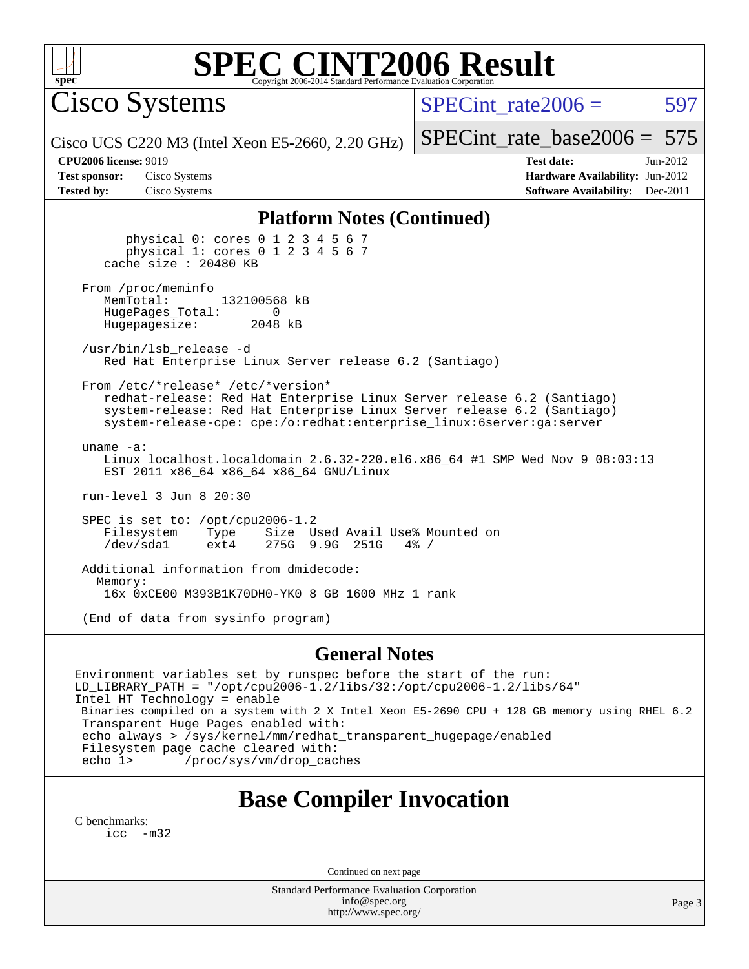

Cisco Systems

SPECint rate $2006 = 597$ 

Cisco UCS C220 M3 (Intel Xeon E5-2660, 2.20 GHz)

[SPECint\\_rate\\_base2006 =](http://www.spec.org/auto/cpu2006/Docs/result-fields.html#SPECintratebase2006) 575 **[CPU2006 license:](http://www.spec.org/auto/cpu2006/Docs/result-fields.html#CPU2006license)** 9019 **[Test date:](http://www.spec.org/auto/cpu2006/Docs/result-fields.html#Testdate)** Jun-2012

**[Test sponsor:](http://www.spec.org/auto/cpu2006/Docs/result-fields.html#Testsponsor)** Cisco Systems **[Hardware Availability:](http://www.spec.org/auto/cpu2006/Docs/result-fields.html#HardwareAvailability)** Jun-2012 **[Tested by:](http://www.spec.org/auto/cpu2006/Docs/result-fields.html#Testedby)** Cisco Systems **[Software Availability:](http://www.spec.org/auto/cpu2006/Docs/result-fields.html#SoftwareAvailability)** Dec-2011

#### **[Platform Notes \(Continued\)](http://www.spec.org/auto/cpu2006/Docs/result-fields.html#PlatformNotes)**

 physical 0: cores 0 1 2 3 4 5 6 7 physical 1: cores 0 1 2 3 4 5 6 7 cache size : 20480 KB From /proc/meminfo<br>MemTotal: 132100568 kB HugePages\_Total: 0<br>Hugepagesize: 2048 kB Hugepagesize: /usr/bin/lsb\_release -d Red Hat Enterprise Linux Server release 6.2 (Santiago) From /etc/\*release\* /etc/\*version\* redhat-release: Red Hat Enterprise Linux Server release 6.2 (Santiago) system-release: Red Hat Enterprise Linux Server release 6.2 (Santiago) system-release-cpe: cpe:/o:redhat:enterprise\_linux:6server:ga:server uname -a: Linux localhost.localdomain 2.6.32-220.el6.x86\_64 #1 SMP Wed Nov 9 08:03:13 EST 2011 x86\_64 x86\_64 x86\_64 GNU/Linux run-level 3 Jun 8 20:30 SPEC is set to: /opt/cpu2006-1.2 Filesystem Type Size Used Avail Use% Mounted on<br>
/dev/sdal ext4 275G 9.9G 251G 4% / 275G 9.9G 251G Additional information from dmidecode: Memory: 16x 0xCE00 M393B1K70DH0-YK0 8 GB 1600 MHz 1 rank (End of data from sysinfo program)

#### **[General Notes](http://www.spec.org/auto/cpu2006/Docs/result-fields.html#GeneralNotes)**

Environment variables set by runspec before the start of the run: LD\_LIBRARY\_PATH = "/opt/cpu2006-1.2/libs/32:/opt/cpu2006-1.2/libs/64" Intel HT Technology = enable Binaries compiled on a system with 2 X Intel Xeon E5-2690 CPU + 128 GB memory using RHEL 6.2 Transparent Huge Pages enabled with: echo always > /sys/kernel/mm/redhat transparent hugepage/enabled Filesystem page cache cleared with: echo 1> /proc/sys/vm/drop\_caches

### **[Base Compiler Invocation](http://www.spec.org/auto/cpu2006/Docs/result-fields.html#BaseCompilerInvocation)**

[C benchmarks](http://www.spec.org/auto/cpu2006/Docs/result-fields.html#Cbenchmarks): [icc -m32](http://www.spec.org/cpu2006/results/res2012q3/cpu2006-20120613-22882.flags.html#user_CCbase_intel_icc_5ff4a39e364c98233615fdd38438c6f2)

Continued on next page

Standard Performance Evaluation Corporation [info@spec.org](mailto:info@spec.org) <http://www.spec.org/>

Page 3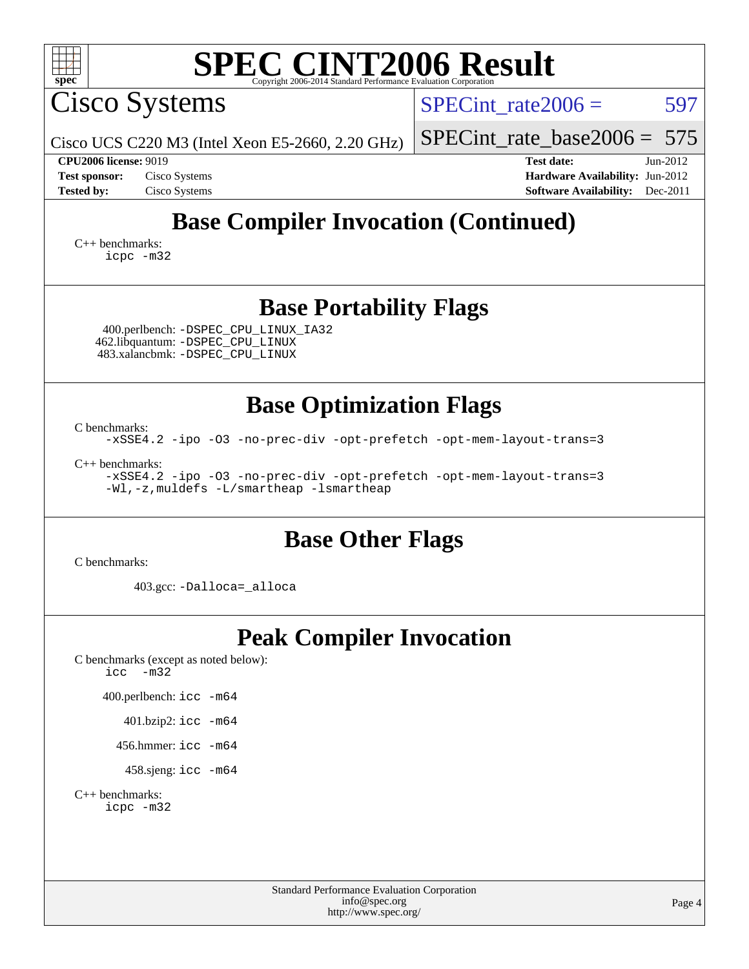| $spec^*$                                                                                                                                                                                             | <b>SPEC CINT2006 Result</b>                                                                                                                                                    |
|------------------------------------------------------------------------------------------------------------------------------------------------------------------------------------------------------|--------------------------------------------------------------------------------------------------------------------------------------------------------------------------------|
| Cisco Systems                                                                                                                                                                                        | $SPECint rate 2006 =$<br>597                                                                                                                                                   |
| Cisco UCS C220 M3 (Intel Xeon E5-2660, 2.20 GHz)                                                                                                                                                     | $SPECint_rate_base2006 = 575$                                                                                                                                                  |
| <b>CPU2006 license: 9019</b><br>Cisco Systems<br><b>Test sponsor:</b><br><b>Tested by:</b><br>Cisco Systems                                                                                          | <b>Test date:</b><br>$Jun-2012$<br>Hardware Availability: Jun-2012<br><b>Software Availability:</b><br>$Dec-2011$                                                              |
|                                                                                                                                                                                                      | <b>Base Compiler Invocation (Continued)</b>                                                                                                                                    |
| $C_{++}$ benchmarks:<br>icpc -m32                                                                                                                                                                    |                                                                                                                                                                                |
| 400.perlbench: - DSPEC CPU LINUX IA32<br>462.libquantum: - DSPEC CPU LINUX<br>483.xalancbmk: -DSPEC_CPU_LINUX                                                                                        | <b>Base Portability Flags</b>                                                                                                                                                  |
| C benchmarks:<br>$C_{++}$ benchmarks:<br>-Wl,-z, muldefs -L/smartheap -lsmartheap                                                                                                                    | <b>Base Optimization Flags</b><br>-xSSE4.2 -ipo -03 -no-prec-div -opt-prefetch -opt-mem-layout-trans=3<br>-xSSE4.2 -ipo -03 -no-prec-div -opt-prefetch -opt-mem-layout-trans=3 |
| C benchmarks:                                                                                                                                                                                        | <b>Base Other Flags</b>                                                                                                                                                        |
| 403.gcc: -Dalloca=_alloca                                                                                                                                                                            |                                                                                                                                                                                |
| C benchmarks (except as noted below):<br>$-m32$<br>icc<br>400.perlbench: icc -m64<br>401.bzip2: icc -m64<br>456.hmmer: $\text{icc}$ -m64<br>458.sjeng: icc -m64<br>$C_{++}$ benchmarks:<br>icpc -m32 | <b>Peak Compiler Invocation</b>                                                                                                                                                |
|                                                                                                                                                                                                      | <b>Standard Performance Evaluation Corporation</b><br>info@spec.org<br>Page 4<br>http://www.spec.org/                                                                          |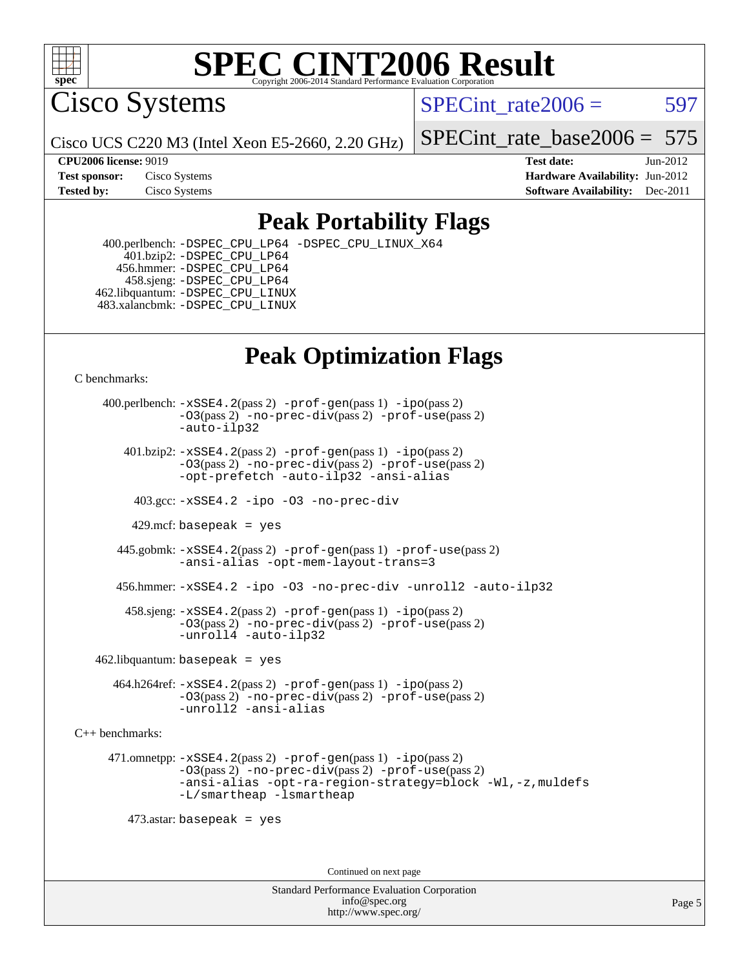

Cisco Systems

SPECint rate $2006 = 597$ 

Cisco UCS C220 M3 (Intel Xeon E5-2660, 2.20 GHz)

[SPECint\\_rate\\_base2006 =](http://www.spec.org/auto/cpu2006/Docs/result-fields.html#SPECintratebase2006) 575

**[CPU2006 license:](http://www.spec.org/auto/cpu2006/Docs/result-fields.html#CPU2006license)** 9019 **[Test date:](http://www.spec.org/auto/cpu2006/Docs/result-fields.html#Testdate)** Jun-2012 **[Test sponsor:](http://www.spec.org/auto/cpu2006/Docs/result-fields.html#Testsponsor)** Cisco Systems **[Hardware Availability:](http://www.spec.org/auto/cpu2006/Docs/result-fields.html#HardwareAvailability)** Jun-2012 **[Tested by:](http://www.spec.org/auto/cpu2006/Docs/result-fields.html#Testedby)** Cisco Systems **[Software Availability:](http://www.spec.org/auto/cpu2006/Docs/result-fields.html#SoftwareAvailability)** Dec-2011

### **[Peak Portability Flags](http://www.spec.org/auto/cpu2006/Docs/result-fields.html#PeakPortabilityFlags)**

 400.perlbench: [-DSPEC\\_CPU\\_LP64](http://www.spec.org/cpu2006/results/res2012q3/cpu2006-20120613-22882.flags.html#b400.perlbench_peakCPORTABILITY_DSPEC_CPU_LP64) [-DSPEC\\_CPU\\_LINUX\\_X64](http://www.spec.org/cpu2006/results/res2012q3/cpu2006-20120613-22882.flags.html#b400.perlbench_peakCPORTABILITY_DSPEC_CPU_LINUX_X64) 401.bzip2: [-DSPEC\\_CPU\\_LP64](http://www.spec.org/cpu2006/results/res2012q3/cpu2006-20120613-22882.flags.html#suite_peakCPORTABILITY401_bzip2_DSPEC_CPU_LP64) 456.hmmer: [-DSPEC\\_CPU\\_LP64](http://www.spec.org/cpu2006/results/res2012q3/cpu2006-20120613-22882.flags.html#suite_peakCPORTABILITY456_hmmer_DSPEC_CPU_LP64) 458.sjeng: [-DSPEC\\_CPU\\_LP64](http://www.spec.org/cpu2006/results/res2012q3/cpu2006-20120613-22882.flags.html#suite_peakCPORTABILITY458_sjeng_DSPEC_CPU_LP64) 462.libquantum: [-DSPEC\\_CPU\\_LINUX](http://www.spec.org/cpu2006/results/res2012q3/cpu2006-20120613-22882.flags.html#b462.libquantum_peakCPORTABILITY_DSPEC_CPU_LINUX) 483.xalancbmk: [-DSPEC\\_CPU\\_LINUX](http://www.spec.org/cpu2006/results/res2012q3/cpu2006-20120613-22882.flags.html#b483.xalancbmk_peakCXXPORTABILITY_DSPEC_CPU_LINUX)

## **[Peak Optimization Flags](http://www.spec.org/auto/cpu2006/Docs/result-fields.html#PeakOptimizationFlags)**

[C benchmarks](http://www.spec.org/auto/cpu2006/Docs/result-fields.html#Cbenchmarks):

 400.perlbench: [-xSSE4.2](http://www.spec.org/cpu2006/results/res2012q3/cpu2006-20120613-22882.flags.html#user_peakPASS2_CFLAGSPASS2_LDCFLAGS400_perlbench_f-xSSE42_f91528193cf0b216347adb8b939d4107)(pass 2) [-prof-gen](http://www.spec.org/cpu2006/results/res2012q3/cpu2006-20120613-22882.flags.html#user_peakPASS1_CFLAGSPASS1_LDCFLAGS400_perlbench_prof_gen_e43856698f6ca7b7e442dfd80e94a8fc)(pass 1) [-ipo](http://www.spec.org/cpu2006/results/res2012q3/cpu2006-20120613-22882.flags.html#user_peakPASS2_CFLAGSPASS2_LDCFLAGS400_perlbench_f-ipo)(pass 2) [-O3](http://www.spec.org/cpu2006/results/res2012q3/cpu2006-20120613-22882.flags.html#user_peakPASS2_CFLAGSPASS2_LDCFLAGS400_perlbench_f-O3)(pass 2) [-no-prec-div](http://www.spec.org/cpu2006/results/res2012q3/cpu2006-20120613-22882.flags.html#user_peakPASS2_CFLAGSPASS2_LDCFLAGS400_perlbench_f-no-prec-div)(pass 2) [-prof-use](http://www.spec.org/cpu2006/results/res2012q3/cpu2006-20120613-22882.flags.html#user_peakPASS2_CFLAGSPASS2_LDCFLAGS400_perlbench_prof_use_bccf7792157ff70d64e32fe3e1250b55)(pass 2) [-auto-ilp32](http://www.spec.org/cpu2006/results/res2012q3/cpu2006-20120613-22882.flags.html#user_peakCOPTIMIZE400_perlbench_f-auto-ilp32)  $401.bzip2: -xSSE4.2(pass 2) -prof-qen(pass 1) -ipo(pass 2)$  $401.bzip2: -xSSE4.2(pass 2) -prof-qen(pass 1) -ipo(pass 2)$  $401.bzip2: -xSSE4.2(pass 2) -prof-qen(pass 1) -ipo(pass 2)$  $401.bzip2: -xSSE4.2(pass 2) -prof-qen(pass 1) -ipo(pass 2)$  $401.bzip2: -xSSE4.2(pass 2) -prof-qen(pass 1) -ipo(pass 2)$ [-O3](http://www.spec.org/cpu2006/results/res2012q3/cpu2006-20120613-22882.flags.html#user_peakPASS2_CFLAGSPASS2_LDCFLAGS401_bzip2_f-O3)(pass 2) [-no-prec-div](http://www.spec.org/cpu2006/results/res2012q3/cpu2006-20120613-22882.flags.html#user_peakPASS2_CFLAGSPASS2_LDCFLAGS401_bzip2_f-no-prec-div)(pass 2) [-prof-use](http://www.spec.org/cpu2006/results/res2012q3/cpu2006-20120613-22882.flags.html#user_peakPASS2_CFLAGSPASS2_LDCFLAGS401_bzip2_prof_use_bccf7792157ff70d64e32fe3e1250b55)(pass 2) [-opt-prefetch](http://www.spec.org/cpu2006/results/res2012q3/cpu2006-20120613-22882.flags.html#user_peakCOPTIMIZE401_bzip2_f-opt-prefetch) [-auto-ilp32](http://www.spec.org/cpu2006/results/res2012q3/cpu2006-20120613-22882.flags.html#user_peakCOPTIMIZE401_bzip2_f-auto-ilp32) [-ansi-alias](http://www.spec.org/cpu2006/results/res2012q3/cpu2006-20120613-22882.flags.html#user_peakCOPTIMIZE401_bzip2_f-ansi-alias) 403.gcc: [-xSSE4.2](http://www.spec.org/cpu2006/results/res2012q3/cpu2006-20120613-22882.flags.html#user_peakCOPTIMIZE403_gcc_f-xSSE42_f91528193cf0b216347adb8b939d4107) [-ipo](http://www.spec.org/cpu2006/results/res2012q3/cpu2006-20120613-22882.flags.html#user_peakCOPTIMIZE403_gcc_f-ipo) [-O3](http://www.spec.org/cpu2006/results/res2012q3/cpu2006-20120613-22882.flags.html#user_peakCOPTIMIZE403_gcc_f-O3) [-no-prec-div](http://www.spec.org/cpu2006/results/res2012q3/cpu2006-20120613-22882.flags.html#user_peakCOPTIMIZE403_gcc_f-no-prec-div) 429.mcf: basepeak = yes 445.gobmk: [-xSSE4.2](http://www.spec.org/cpu2006/results/res2012q3/cpu2006-20120613-22882.flags.html#user_peakPASS2_CFLAGSPASS2_LDCFLAGS445_gobmk_f-xSSE42_f91528193cf0b216347adb8b939d4107)(pass 2) [-prof-gen](http://www.spec.org/cpu2006/results/res2012q3/cpu2006-20120613-22882.flags.html#user_peakPASS1_CFLAGSPASS1_LDCFLAGS445_gobmk_prof_gen_e43856698f6ca7b7e442dfd80e94a8fc)(pass 1) [-prof-use](http://www.spec.org/cpu2006/results/res2012q3/cpu2006-20120613-22882.flags.html#user_peakPASS2_CFLAGSPASS2_LDCFLAGS445_gobmk_prof_use_bccf7792157ff70d64e32fe3e1250b55)(pass 2) [-ansi-alias](http://www.spec.org/cpu2006/results/res2012q3/cpu2006-20120613-22882.flags.html#user_peakCOPTIMIZE445_gobmk_f-ansi-alias) [-opt-mem-layout-trans=3](http://www.spec.org/cpu2006/results/res2012q3/cpu2006-20120613-22882.flags.html#user_peakCOPTIMIZE445_gobmk_f-opt-mem-layout-trans_a7b82ad4bd7abf52556d4961a2ae94d5) 456.hmmer: [-xSSE4.2](http://www.spec.org/cpu2006/results/res2012q3/cpu2006-20120613-22882.flags.html#user_peakCOPTIMIZE456_hmmer_f-xSSE42_f91528193cf0b216347adb8b939d4107) [-ipo](http://www.spec.org/cpu2006/results/res2012q3/cpu2006-20120613-22882.flags.html#user_peakCOPTIMIZE456_hmmer_f-ipo) [-O3](http://www.spec.org/cpu2006/results/res2012q3/cpu2006-20120613-22882.flags.html#user_peakCOPTIMIZE456_hmmer_f-O3) [-no-prec-div](http://www.spec.org/cpu2006/results/res2012q3/cpu2006-20120613-22882.flags.html#user_peakCOPTIMIZE456_hmmer_f-no-prec-div) [-unroll2](http://www.spec.org/cpu2006/results/res2012q3/cpu2006-20120613-22882.flags.html#user_peakCOPTIMIZE456_hmmer_f-unroll_784dae83bebfb236979b41d2422d7ec2) [-auto-ilp32](http://www.spec.org/cpu2006/results/res2012q3/cpu2006-20120613-22882.flags.html#user_peakCOPTIMIZE456_hmmer_f-auto-ilp32) 458.sjeng: [-xSSE4.2](http://www.spec.org/cpu2006/results/res2012q3/cpu2006-20120613-22882.flags.html#user_peakPASS2_CFLAGSPASS2_LDCFLAGS458_sjeng_f-xSSE42_f91528193cf0b216347adb8b939d4107)(pass 2) [-prof-gen](http://www.spec.org/cpu2006/results/res2012q3/cpu2006-20120613-22882.flags.html#user_peakPASS1_CFLAGSPASS1_LDCFLAGS458_sjeng_prof_gen_e43856698f6ca7b7e442dfd80e94a8fc)(pass 1) [-ipo](http://www.spec.org/cpu2006/results/res2012q3/cpu2006-20120613-22882.flags.html#user_peakPASS2_CFLAGSPASS2_LDCFLAGS458_sjeng_f-ipo)(pass 2) [-O3](http://www.spec.org/cpu2006/results/res2012q3/cpu2006-20120613-22882.flags.html#user_peakPASS2_CFLAGSPASS2_LDCFLAGS458_sjeng_f-O3)(pass 2) [-no-prec-div](http://www.spec.org/cpu2006/results/res2012q3/cpu2006-20120613-22882.flags.html#user_peakPASS2_CFLAGSPASS2_LDCFLAGS458_sjeng_f-no-prec-div)(pass 2) [-prof-use](http://www.spec.org/cpu2006/results/res2012q3/cpu2006-20120613-22882.flags.html#user_peakPASS2_CFLAGSPASS2_LDCFLAGS458_sjeng_prof_use_bccf7792157ff70d64e32fe3e1250b55)(pass 2) [-unroll4](http://www.spec.org/cpu2006/results/res2012q3/cpu2006-20120613-22882.flags.html#user_peakCOPTIMIZE458_sjeng_f-unroll_4e5e4ed65b7fd20bdcd365bec371b81f) [-auto-ilp32](http://www.spec.org/cpu2006/results/res2012q3/cpu2006-20120613-22882.flags.html#user_peakCOPTIMIZE458_sjeng_f-auto-ilp32)  $462$ .libquantum: basepeak = yes 464.h264ref: [-xSSE4.2](http://www.spec.org/cpu2006/results/res2012q3/cpu2006-20120613-22882.flags.html#user_peakPASS2_CFLAGSPASS2_LDCFLAGS464_h264ref_f-xSSE42_f91528193cf0b216347adb8b939d4107)(pass 2) [-prof-gen](http://www.spec.org/cpu2006/results/res2012q3/cpu2006-20120613-22882.flags.html#user_peakPASS1_CFLAGSPASS1_LDCFLAGS464_h264ref_prof_gen_e43856698f6ca7b7e442dfd80e94a8fc)(pass 1) [-ipo](http://www.spec.org/cpu2006/results/res2012q3/cpu2006-20120613-22882.flags.html#user_peakPASS2_CFLAGSPASS2_LDCFLAGS464_h264ref_f-ipo)(pass 2) [-O3](http://www.spec.org/cpu2006/results/res2012q3/cpu2006-20120613-22882.flags.html#user_peakPASS2_CFLAGSPASS2_LDCFLAGS464_h264ref_f-O3)(pass 2) [-no-prec-div](http://www.spec.org/cpu2006/results/res2012q3/cpu2006-20120613-22882.flags.html#user_peakPASS2_CFLAGSPASS2_LDCFLAGS464_h264ref_f-no-prec-div)(pass 2) [-prof-use](http://www.spec.org/cpu2006/results/res2012q3/cpu2006-20120613-22882.flags.html#user_peakPASS2_CFLAGSPASS2_LDCFLAGS464_h264ref_prof_use_bccf7792157ff70d64e32fe3e1250b55)(pass 2) [-unroll2](http://www.spec.org/cpu2006/results/res2012q3/cpu2006-20120613-22882.flags.html#user_peakCOPTIMIZE464_h264ref_f-unroll_784dae83bebfb236979b41d2422d7ec2) [-ansi-alias](http://www.spec.org/cpu2006/results/res2012q3/cpu2006-20120613-22882.flags.html#user_peakCOPTIMIZE464_h264ref_f-ansi-alias) [C++ benchmarks:](http://www.spec.org/auto/cpu2006/Docs/result-fields.html#CXXbenchmarks) 471.omnetpp: [-xSSE4.2](http://www.spec.org/cpu2006/results/res2012q3/cpu2006-20120613-22882.flags.html#user_peakPASS2_CXXFLAGSPASS2_LDCXXFLAGS471_omnetpp_f-xSSE42_f91528193cf0b216347adb8b939d4107)(pass 2) [-prof-gen](http://www.spec.org/cpu2006/results/res2012q3/cpu2006-20120613-22882.flags.html#user_peakPASS1_CXXFLAGSPASS1_LDCXXFLAGS471_omnetpp_prof_gen_e43856698f6ca7b7e442dfd80e94a8fc)(pass 1) [-ipo](http://www.spec.org/cpu2006/results/res2012q3/cpu2006-20120613-22882.flags.html#user_peakPASS2_CXXFLAGSPASS2_LDCXXFLAGS471_omnetpp_f-ipo)(pass 2) [-O3](http://www.spec.org/cpu2006/results/res2012q3/cpu2006-20120613-22882.flags.html#user_peakPASS2_CXXFLAGSPASS2_LDCXXFLAGS471_omnetpp_f-O3)(pass 2) [-no-prec-div](http://www.spec.org/cpu2006/results/res2012q3/cpu2006-20120613-22882.flags.html#user_peakPASS2_CXXFLAGSPASS2_LDCXXFLAGS471_omnetpp_f-no-prec-div)(pass 2) [-prof-use](http://www.spec.org/cpu2006/results/res2012q3/cpu2006-20120613-22882.flags.html#user_peakPASS2_CXXFLAGSPASS2_LDCXXFLAGS471_omnetpp_prof_use_bccf7792157ff70d64e32fe3e1250b55)(pass 2) [-ansi-alias](http://www.spec.org/cpu2006/results/res2012q3/cpu2006-20120613-22882.flags.html#user_peakCXXOPTIMIZE471_omnetpp_f-ansi-alias) [-opt-ra-region-strategy=block](http://www.spec.org/cpu2006/results/res2012q3/cpu2006-20120613-22882.flags.html#user_peakCXXOPTIMIZE471_omnetpp_f-opt-ra-region-strategy_a0a37c372d03933b2a18d4af463c1f69) [-Wl,-z,muldefs](http://www.spec.org/cpu2006/results/res2012q3/cpu2006-20120613-22882.flags.html#user_peakEXTRA_LDFLAGS471_omnetpp_link_force_multiple1_74079c344b956b9658436fd1b6dd3a8a) [-L/smartheap -lsmartheap](http://www.spec.org/cpu2006/results/res2012q3/cpu2006-20120613-22882.flags.html#user_peakEXTRA_LIBS471_omnetpp_SmartHeap_7c9e394a5779e1a7fec7c221e123830c) 473.astar: basepeak = yes Continued on next page